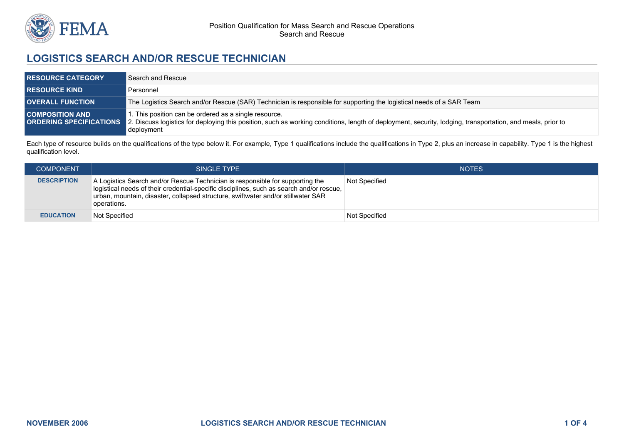

## **LOGISTICS SEARCH AND/OR RESCUE TECHNICIAN**

| <b>RESOURCE CATEGORY</b> | Search and Rescue                                                                                                                                                                                                                                         |
|--------------------------|-----------------------------------------------------------------------------------------------------------------------------------------------------------------------------------------------------------------------------------------------------------|
| <b>RESOURCE KIND</b>     | Personnel                                                                                                                                                                                                                                                 |
| <b>OVERALL FUNCTION</b>  | The Logistics Search and/or Rescue (SAR) Technician is responsible for supporting the logistical needs of a SAR Team                                                                                                                                      |
| <b>COMPOSITION AND</b>   | 1. This position can be ordered as a single resource.<br>ORDERING SPECIFICATIONS 2. Discuss logistics for deploying this position, such as working conditions, length of deployment, security, lodging, transportation, and meals, prior to<br>deployment |

Each type of resource builds on the qualifications of the type below it. For example, Type 1 qualifications include the qualifications in Type 2, plus an increase in capability. Type 1 is the highest qualification level.

| <b>COMPONENT</b>   | SINGLE TYPE                                                                                                                                                                                                                                                                    | <b>NOTES</b>  |
|--------------------|--------------------------------------------------------------------------------------------------------------------------------------------------------------------------------------------------------------------------------------------------------------------------------|---------------|
| <b>DESCRIPTION</b> | A Logistics Search and/or Rescue Technician is responsible for supporting the<br>  logistical needs of their credential-specific disciplines, such as search and/or rescue,<br>urban, mountain, disaster, collapsed structure, swiftwater and/or stillwater SAR<br>operations. | Not Specified |
| <b>EDUCATION</b>   | Not Specified                                                                                                                                                                                                                                                                  | Not Specified |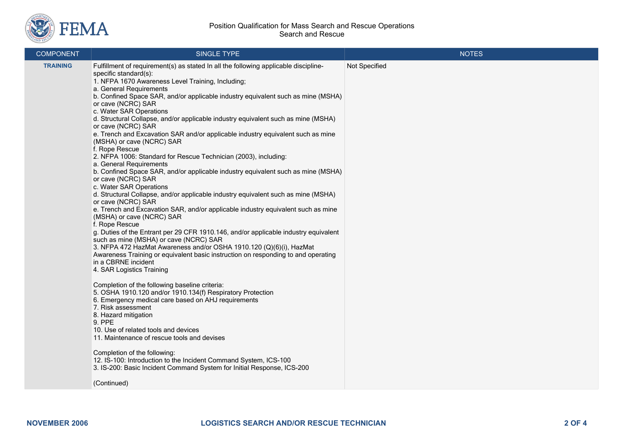

## Position Qualification for Mass Search and Rescue Operations Search and Rescue

| <b>COMPONENT</b> | SINGLE TYPE                                                                                                                                                                                                                                                                                                                                                                                                                                                                                                                                                                                                                                                                                                                                                                                                                                                                                                                                                                                                                                                                                                                                                                                                                                                                                                                                                                                                                                                                                                                                                                                                                                                                                                                                                                                                                                                                                                                         | <b>NOTES</b>  |
|------------------|-------------------------------------------------------------------------------------------------------------------------------------------------------------------------------------------------------------------------------------------------------------------------------------------------------------------------------------------------------------------------------------------------------------------------------------------------------------------------------------------------------------------------------------------------------------------------------------------------------------------------------------------------------------------------------------------------------------------------------------------------------------------------------------------------------------------------------------------------------------------------------------------------------------------------------------------------------------------------------------------------------------------------------------------------------------------------------------------------------------------------------------------------------------------------------------------------------------------------------------------------------------------------------------------------------------------------------------------------------------------------------------------------------------------------------------------------------------------------------------------------------------------------------------------------------------------------------------------------------------------------------------------------------------------------------------------------------------------------------------------------------------------------------------------------------------------------------------------------------------------------------------------------------------------------------------|---------------|
| <b>TRAINING</b>  | Fulfillment of requirement(s) as stated In all the following applicable discipline-<br>specific standard(s):<br>1. NFPA 1670 Awareness Level Training, Including;<br>a. General Requirements<br>b. Confined Space SAR, and/or applicable industry equivalent such as mine (MSHA)<br>or cave (NCRC) SAR<br>c. Water SAR Operations<br>d. Structural Collapse, and/or applicable industry equivalent such as mine (MSHA)<br>or cave (NCRC) SAR<br>e. Trench and Excavation SAR and/or applicable industry equivalent such as mine<br>(MSHA) or cave (NCRC) SAR<br>f. Rope Rescue<br>2. NFPA 1006: Standard for Rescue Technician (2003), including:<br>a. General Requirements<br>b. Confined Space SAR, and/or applicable industry equivalent such as mine (MSHA)<br>or cave (NCRC) SAR<br>c. Water SAR Operations<br>d. Structural Collapse, and/or applicable industry equivalent such as mine (MSHA)<br>or cave (NCRC) SAR<br>e. Trench and Excavation SAR, and/or applicable industry equivalent such as mine<br>(MSHA) or cave (NCRC) SAR<br>f. Rope Rescue<br>g. Duties of the Entrant per 29 CFR 1910.146, and/or applicable industry equivalent<br>such as mine (MSHA) or cave (NCRC) SAR<br>3. NFPA 472 HazMat Awareness and/or OSHA 1910.120 (Q)(6)(i), HazMat<br>Awareness Training or equivalent basic instruction on responding to and operating<br>in a CBRNE incident<br>4. SAR Logistics Training<br>Completion of the following baseline criteria:<br>5. OSHA 1910.120 and/or 1910.134(f) Respiratory Protection<br>6. Emergency medical care based on AHJ requirements<br>7. Risk assessment<br>8. Hazard mitigation<br>9. PPE<br>10. Use of related tools and devices<br>11. Maintenance of rescue tools and devises<br>Completion of the following:<br>12. IS-100: Introduction to the Incident Command System, ICS-100<br>3. IS-200: Basic Incident Command System for Initial Response, ICS-200<br>(Continued) | Not Specified |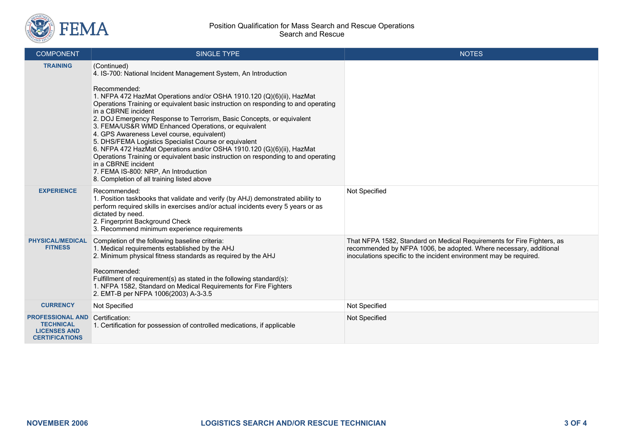

| <b>COMPONENT</b>                                                                            | <b>SINGLE TYPE</b>                                                                                                                                                                                                                                                                                                                                                                                                                                                                                                                                                                                                                                                                                                                                                                                      | <b>NOTES</b>                                                                                                                                                                                                      |
|---------------------------------------------------------------------------------------------|---------------------------------------------------------------------------------------------------------------------------------------------------------------------------------------------------------------------------------------------------------------------------------------------------------------------------------------------------------------------------------------------------------------------------------------------------------------------------------------------------------------------------------------------------------------------------------------------------------------------------------------------------------------------------------------------------------------------------------------------------------------------------------------------------------|-------------------------------------------------------------------------------------------------------------------------------------------------------------------------------------------------------------------|
| <b>TRAINING</b>                                                                             | (Continued)<br>4. IS-700: National Incident Management System, An Introduction<br>Recommended:<br>1. NFPA 472 HazMat Operations and/or OSHA 1910.120 (Q)(6)(ii), HazMat<br>Operations Training or equivalent basic instruction on responding to and operating<br>in a CBRNE incident<br>2. DOJ Emergency Response to Terrorism, Basic Concepts, or equivalent<br>3. FEMA/US&R WMD Enhanced Operations, or equivalent<br>4. GPS Awareness Level course, equivalent)<br>5. DHS/FEMA Logistics Specialist Course or equivalent<br>6. NFPA 472 HazMat Operations and/or OSHA 1910.120 (G)(6)(ii), HazMat<br>Operations Training or equivalent basic instruction on responding to and operating<br>in a CBRNE incident<br>7. FEMA IS-800: NRP, An Introduction<br>8. Completion of all training listed above |                                                                                                                                                                                                                   |
| <b>EXPERIENCE</b>                                                                           | Recommended:<br>1. Position taskbooks that validate and verify (by AHJ) demonstrated ability to<br>perform required skills in exercises and/or actual incidents every 5 years or as<br>dictated by need.<br>2. Fingerprint Background Check<br>3. Recommend minimum experience requirements                                                                                                                                                                                                                                                                                                                                                                                                                                                                                                             | Not Specified                                                                                                                                                                                                     |
| <b>PHYSICAL/MEDICAL</b><br><b>FITNESS</b>                                                   | Completion of the following baseline criteria:<br>1. Medical requirements established by the AHJ<br>2. Minimum physical fitness standards as required by the AHJ<br>Recommended:<br>Fulfillment of requirement(s) as stated in the following standard(s):<br>1. NFPA 1582, Standard on Medical Requirements for Fire Fighters<br>2. EMT-B per NFPA 1006(2003) A-3-3.5                                                                                                                                                                                                                                                                                                                                                                                                                                   | That NFPA 1582, Standard on Medical Requirements for Fire Fighters, as<br>recommended by NFPA 1006, be adopted. Where necessary, additional<br>inoculations specific to the incident environment may be required. |
| <b>CURRENCY</b>                                                                             | Not Specified                                                                                                                                                                                                                                                                                                                                                                                                                                                                                                                                                                                                                                                                                                                                                                                           | Not Specified                                                                                                                                                                                                     |
| <b>PROFESSIONAL AND</b><br><b>TECHNICAL</b><br><b>LICENSES AND</b><br><b>CERTIFICATIONS</b> | Certification:<br>1. Certification for possession of controlled medications, if applicable                                                                                                                                                                                                                                                                                                                                                                                                                                                                                                                                                                                                                                                                                                              | Not Specified                                                                                                                                                                                                     |